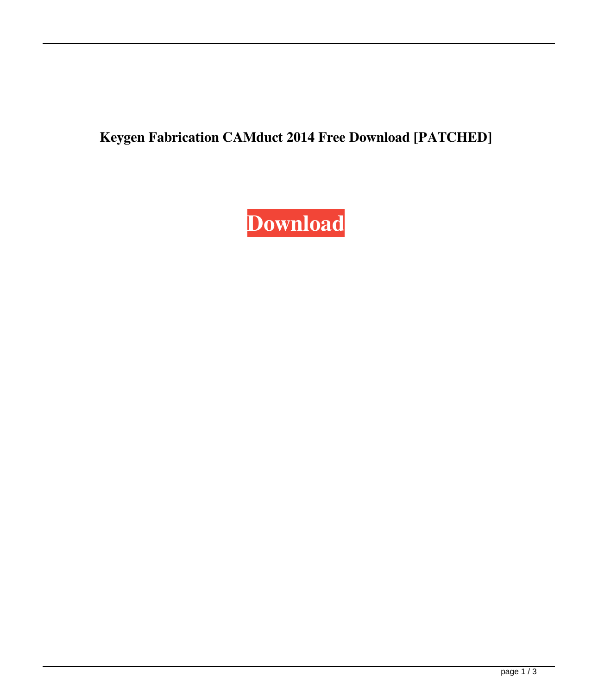**Keygen Fabrication CAMduct 2014 Free Download [PATCHED]**

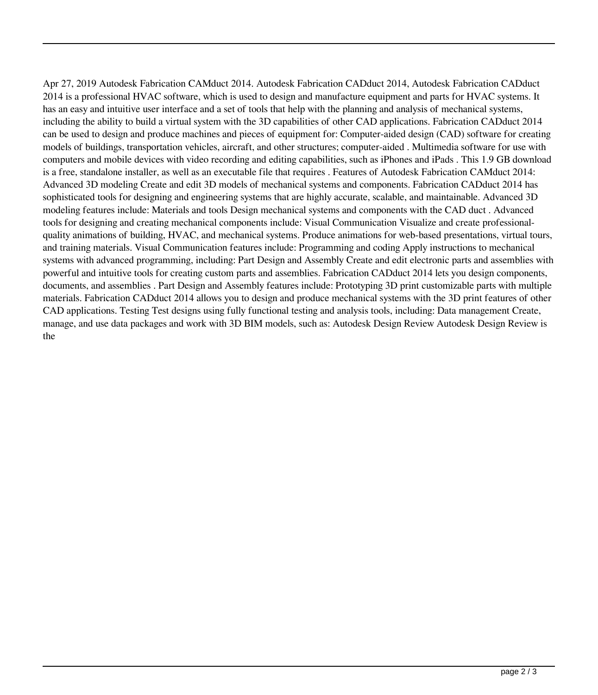Apr 27, 2019 Autodesk Fabrication CAMduct 2014. Autodesk Fabrication CADduct 2014, Autodesk Fabrication CADduct 2014 is a professional HVAC software, which is used to design and manufacture equipment and parts for HVAC systems. It has an easy and intuitive user interface and a set of tools that help with the planning and analysis of mechanical systems, including the ability to build a virtual system with the 3D capabilities of other CAD applications. Fabrication CADduct 2014 can be used to design and produce machines and pieces of equipment for: Computer-aided design (CAD) software for creating models of buildings, transportation vehicles, aircraft, and other structures; computer-aided . Multimedia software for use with computers and mobile devices with video recording and editing capabilities, such as iPhones and iPads . This 1.9 GB download is a free, standalone installer, as well as an executable file that requires . Features of Autodesk Fabrication CAMduct 2014: Advanced 3D modeling Create and edit 3D models of mechanical systems and components. Fabrication CADduct 2014 has sophisticated tools for designing and engineering systems that are highly accurate, scalable, and maintainable. Advanced 3D modeling features include: Materials and tools Design mechanical systems and components with the CAD duct . Advanced tools for designing and creating mechanical components include: Visual Communication Visualize and create professionalquality animations of building, HVAC, and mechanical systems. Produce animations for web-based presentations, virtual tours, and training materials. Visual Communication features include: Programming and coding Apply instructions to mechanical systems with advanced programming, including: Part Design and Assembly Create and edit electronic parts and assemblies with powerful and intuitive tools for creating custom parts and assemblies. Fabrication CADduct 2014 lets you design components, documents, and assemblies . Part Design and Assembly features include: Prototyping 3D print customizable parts with multiple materials. Fabrication CADduct 2014 allows you to design and produce mechanical systems with the 3D print features of other CAD applications. Testing Test designs using fully functional testing and analysis tools, including: Data management Create, manage, and use data packages and work with 3D BIM models, such as: Autodesk Design Review Autodesk Design Review is the